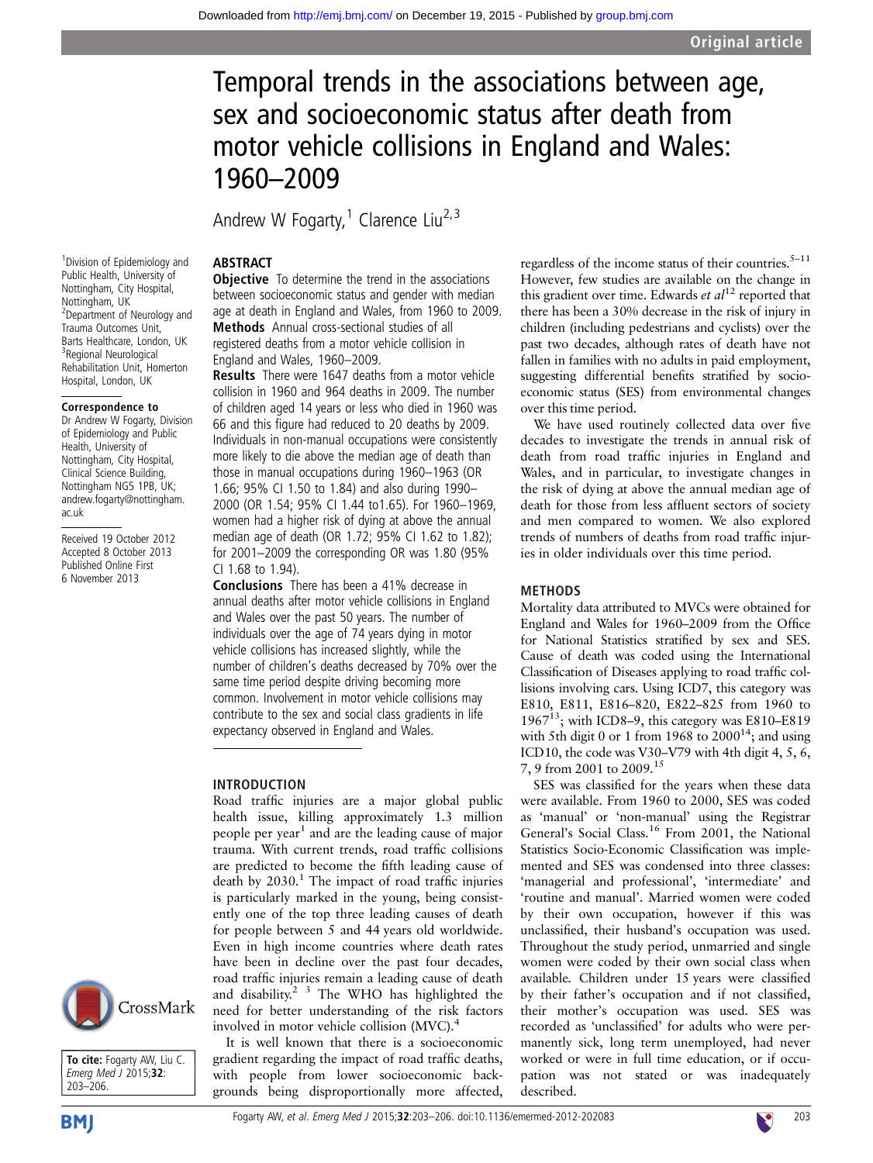# Temporal trends in the associations between age, sex and socioeconomic status after death from motor vehicle collisions in England and Wales: 1960–2009

Andrew W Fogarty,<sup>1</sup> Clarence Liu<sup>2,3</sup>

<sup>1</sup> Division of Epidemiology and Public Health, University of Nottingham, City Hospital, Nottingham, UK <sup>2</sup> Department of Neurology and Trauma Outcomes Unit, Barts Healthcare, London, UK 3 Regional Neurological Rehabilitation Unit, Homerton Hospital, London, UK

# Correspondence to

Dr Andrew W Fogarty, Division of Epidemiology and Public Health, University of Nottingham, City Hospital, Clinical Science Building, Nottingham NG5 1PB, UK; andrew.fogarty@nottingham. ac.uk

Received 19 October 2012 Accepted 8 October 2013 Published Online First 6 November 2013

# ABSTRACT

**Objective** To determine the trend in the associations between socioeconomic status and gender with median age at death in England and Wales, from 1960 to 2009. Methods Annual cross-sectional studies of all registered deaths from a motor vehicle collision in England and Wales, 1960–2009.

Results There were 1647 deaths from a motor vehicle collision in 1960 and 964 deaths in 2009. The number of children aged 14 years or less who died in 1960 was 66 and this figure had reduced to 20 deaths by 2009. Individuals in non-manual occupations were consistently more likely to die above the median age of death than those in manual occupations during 1960–1963 (OR 1.66; 95% CI 1.50 to 1.84) and also during 1990– 2000 (OR 1.54; 95% CI 1.44 to1.65). For 1960–1969, women had a higher risk of dying at above the annual median age of death (OR 1.72; 95% CI 1.62 to 1.82); for 2001–2009 the corresponding OR was 1.80 (95% CI 1.68 to 1.94).

Conclusions There has been a 41% decrease in annual deaths after motor vehicle collisions in England and Wales over the past 50 years. The number of individuals over the age of 74 years dying in motor vehicle collisions has increased slightly, while the number of children's deaths decreased by 70% over the same time period despite driving becoming more common. Involvement in motor vehicle collisions may contribute to the sex and social class gradients in life expectancy observed in England and Wales.

# INTRODUCTION

Road traffic injuries are a major global public health issue, killing approximately 1.3 million people per year<sup>1</sup> and are the leading cause of major trauma. With current trends, road traffic collisions are predicted to become the fifth leading cause of death by  $2030$ .<sup>1</sup> The impact of road traffic injuries is particularly marked in the young, being consistently one of the top three leading causes of death for people between 5 and 44 years old worldwide. Even in high income countries where death rates have been in decline over the past four decades, road traffic injuries remain a leading cause of death and disability.<sup>2</sup> <sup>3</sup> The WHO has highlighted the need for better understanding of the risk factors involved in motor vehicle collision (MVC).<sup>4</sup>

It is well known that there is a socioeconomic gradient regarding the impact of road traffic deaths, with people from lower socioeconomic backgrounds being disproportionally more affected,

regardless of the income status of their countries. $5-11$ However, few studies are available on the change in this gradient over time. Edwards et  $al^{12}$  reported that there has been a 30% decrease in the risk of injury in children (including pedestrians and cyclists) over the past two decades, although rates of death have not fallen in families with no adults in paid employment, suggesting differential benefits stratified by socioeconomic status (SES) from environmental changes over this time period.

We have used routinely collected data over five decades to investigate the trends in annual risk of death from road traffic injuries in England and Wales, and in particular, to investigate changes in the risk of dying at above the annual median age of death for those from less affluent sectors of society and men compared to women. We also explored trends of numbers of deaths from road traffic injuries in older individuals over this time period.

# METHODS

Mortality data attributed to MVCs were obtained for England and Wales for 1960–2009 from the Office for National Statistics stratified by sex and SES. Cause of death was coded using the International Classification of Diseases applying to road traffic collisions involving cars. Using ICD7, this category was E810, E811, E816–820, E822–825 from 1960 to 1967 $^{13}$ ; with ICD8-9, this category was E810–E819 with 5th digit 0 or 1 from  $1968$  to  $2000^{14}$ ; and using ICD10, the code was V30–V79 with 4th digit 4, 5, 6, 7, 9 from 2001 to 2009.15

SES was classified for the years when these data were available. From 1960 to 2000, SES was coded as 'manual' or 'non-manual' using the Registrar General's Social Class.<sup>16</sup> From 2001, the National Statistics Socio-Economic Classification was implemented and SES was condensed into three classes: 'managerial and professional', 'intermediate' and 'routine and manual'. Married women were coded by their own occupation, however if this was unclassified, their husband's occupation was used. Throughout the study period, unmarried and single women were coded by their own social class when available. Children under 15 years were classified by their father's occupation and if not classified, their mother's occupation was used. SES was recorded as 'unclassified' for adults who were permanently sick, long term unemployed, had never worked or were in full time education, or if occupation was not stated or was inadequately described.



To cite: Fogarty AW, Liu C. Emerg Med J 2015;32: 203–206.



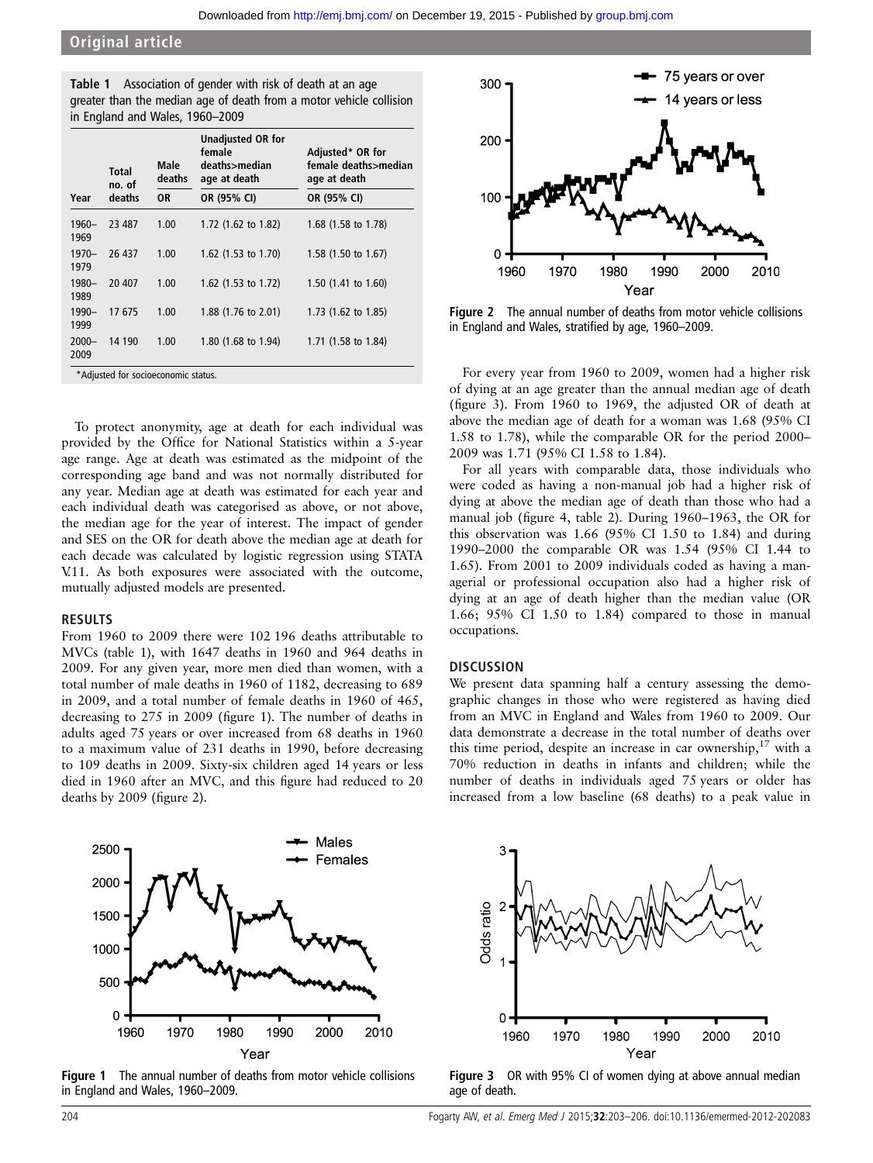| <b>Table 1</b> Association of gender with risk of death at an age   |
|---------------------------------------------------------------------|
| greater than the median age of death from a motor vehicle collision |
| in England and Wales, 1960–2009                                     |

|                  | <b>Total</b><br>no. of | Male<br>deaths | <b>Unadjusted OR for</b><br>female<br>deaths>median<br>age at death | Adjusted* OR for<br>female deaths>median<br>age at death |
|------------------|------------------------|----------------|---------------------------------------------------------------------|----------------------------------------------------------|
| Year             | deaths                 | 0R             | OR (95% CI)                                                         | OR (95% CI)                                              |
| $1960 -$<br>1969 | 23 487                 | 1.00           | 1.72 $(1.62 \text{ to } 1.82)$                                      | 1.68 $(1.58 \text{ to } 1.78)$                           |
| $1970 -$<br>1979 | 26 437                 | 1.00           | 1.62 $(1.53 \text{ to } 1.70)$                                      | 1.58 $(1.50 \text{ to } 1.67)$                           |
| 1980-<br>1989    | 20 407                 | 1.00           | 1.62 $(1.53 \text{ to } 1.72)$                                      | 1.50 $(1.41 \text{ to } 1.60)$                           |
| $1990 -$<br>1999 | 17675                  | 1.00           | 1.88 $(1.76 \text{ to } 2.01)$                                      | 1.73 $(1.62 \text{ to } 1.85)$                           |
| $2000 -$<br>2009 | 14 190                 | 1.00           | 1.80 (1.68 to 1.94)                                                 | 1.71 (1.58 to 1.84)                                      |

To protect anonymity, age at death for each individual was provided by the Office for National Statistics within a 5-year age range. Age at death was estimated as the midpoint of the corresponding age band and was not normally distributed for any year. Median age at death was estimated for each year and each individual death was categorised as above, or not above, the median age for the year of interest. The impact of gender and SES on the OR for death above the median age at death for each decade was calculated by logistic regression using STATA V.11. As both exposures were associated with the outcome, mutually adjusted models are presented.

#### RESULTS

From 1960 to 2009 there were 102 196 deaths attributable to MVCs (table 1), with 1647 deaths in 1960 and 964 deaths in 2009. For any given year, more men died than women, with a total number of male deaths in 1960 of 1182, decreasing to 689 in 2009, and a total number of female deaths in 1960 of 465, decreasing to 275 in 2009 (figure 1). The number of deaths in adults aged 75 years or over increased from 68 deaths in 1960 to a maximum value of 231 deaths in 1990, before decreasing to 109 deaths in 2009. Sixty-six children aged 14 years or less died in 1960 after an MVC, and this figure had reduced to 20 deaths by 2009 (figure 2).



Figure 1 The annual number of deaths from motor vehicle collisions in England and Wales, 1960–2009.



Figure 2 The annual number of deaths from motor vehicle collisions in England and Wales, stratified by age, 1960–2009.

For every year from 1960 to 2009, women had a higher risk of dying at an age greater than the annual median age of death (figure 3). From 1960 to 1969, the adjusted OR of death at above the median age of death for a woman was 1.68 (95% CI 1.58 to 1.78), while the comparable OR for the period 2000– 2009 was 1.71 (95% CI 1.58 to 1.84).

For all years with comparable data, those individuals who were coded as having a non-manual job had a higher risk of dying at above the median age of death than those who had a manual job (figure 4, table 2). During 1960–1963, the OR for this observation was 1.66 (95% CI 1.50 to 1.84) and during 1990–2000 the comparable OR was 1.54 (95% CI 1.44 to 1.65). From 2001 to 2009 individuals coded as having a managerial or professional occupation also had a higher risk of dying at an age of death higher than the median value (OR 1.66; 95% CI 1.50 to 1.84) compared to those in manual occupations.

## **DISCUSSION**

We present data spanning half a century assessing the demographic changes in those who were registered as having died from an MVC in England and Wales from 1960 to 2009. Our data demonstrate a decrease in the total number of deaths over this time period, despite an increase in car ownership,  $17$  with a 70% reduction in deaths in infants and children; while the number of deaths in individuals aged 75 years or older has increased from a low baseline (68 deaths) to a peak value in



Figure 3 OR with 95% CI of women dying at above annual median age of death.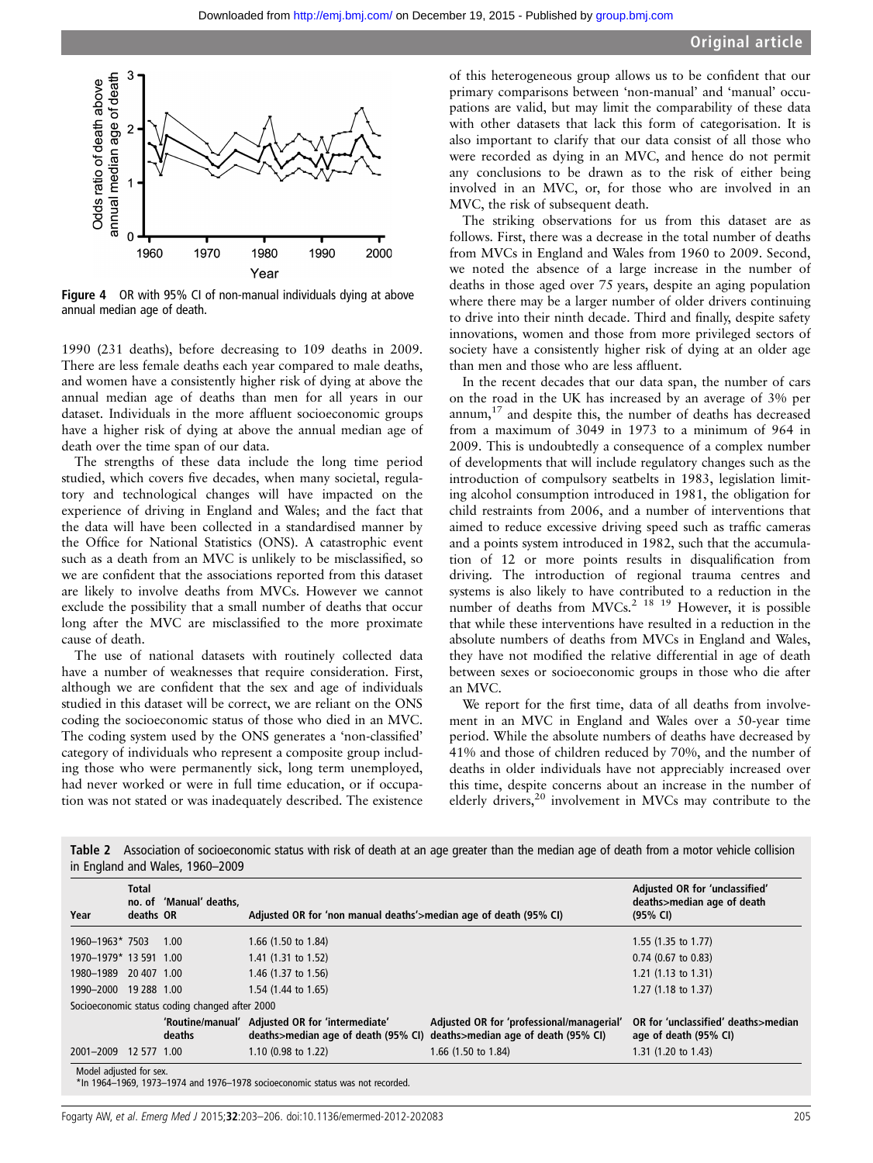

Figure 4 OR with 95% CI of non-manual individuals dying at above annual median age of death.

1990 (231 deaths), before decreasing to 109 deaths in 2009. There are less female deaths each year compared to male deaths, and women have a consistently higher risk of dying at above the annual median age of deaths than men for all years in our dataset. Individuals in the more affluent socioeconomic groups have a higher risk of dying at above the annual median age of death over the time span of our data.

The strengths of these data include the long time period studied, which covers five decades, when many societal, regulatory and technological changes will have impacted on the experience of driving in England and Wales; and the fact that the data will have been collected in a standardised manner by the Office for National Statistics (ONS). A catastrophic event such as a death from an MVC is unlikely to be misclassified, so we are confident that the associations reported from this dataset are likely to involve deaths from MVCs. However we cannot exclude the possibility that a small number of deaths that occur long after the MVC are misclassified to the more proximate cause of death.

The use of national datasets with routinely collected data have a number of weaknesses that require consideration. First, although we are confident that the sex and age of individuals studied in this dataset will be correct, we are reliant on the ONS coding the socioeconomic status of those who died in an MVC. The coding system used by the ONS generates a 'non-classified' category of individuals who represent a composite group including those who were permanently sick, long term unemployed, had never worked or were in full time education, or if occupation was not stated or was inadequately described. The existence

of this heterogeneous group allows us to be confident that our primary comparisons between 'non-manual' and 'manual' occupations are valid, but may limit the comparability of these data with other datasets that lack this form of categorisation. It is also important to clarify that our data consist of all those who were recorded as dying in an MVC, and hence do not permit any conclusions to be drawn as to the risk of either being involved in an MVC, or, for those who are involved in an MVC, the risk of subsequent death.

The striking observations for us from this dataset are as follows. First, there was a decrease in the total number of deaths from MVCs in England and Wales from 1960 to 2009. Second, we noted the absence of a large increase in the number of deaths in those aged over 75 years, despite an aging population where there may be a larger number of older drivers continuing to drive into their ninth decade. Third and finally, despite safety innovations, women and those from more privileged sectors of society have a consistently higher risk of dying at an older age than men and those who are less affluent.

In the recent decades that our data span, the number of cars on the road in the UK has increased by an average of 3% per annum, $17$  and despite this, the number of deaths has decreased from a maximum of 3049 in 1973 to a minimum of 964 in 2009. This is undoubtedly a consequence of a complex number of developments that will include regulatory changes such as the introduction of compulsory seatbelts in 1983, legislation limiting alcohol consumption introduced in 1981, the obligation for child restraints from 2006, and a number of interventions that aimed to reduce excessive driving speed such as traffic cameras and a points system introduced in 1982, such that the accumulation of 12 or more points results in disqualification from driving. The introduction of regional trauma centres and systems is also likely to have contributed to a reduction in the number of deaths from MVCs.<sup>2 18 19</sup> However, it is possible that while these interventions have resulted in a reduction in the absolute numbers of deaths from MVCs in England and Wales, they have not modified the relative differential in age of death between sexes or socioeconomic groups in those who die after an MVC.

We report for the first time, data of all deaths from involvement in an MVC in England and Wales over a 50-year time period. While the absolute numbers of deaths have decreased by 41% and those of children reduced by 70%, and the number of deaths in older individuals have not appreciably increased over this time, despite concerns about an increase in the number of elderly drivers,<sup>20</sup> involvement in MVCs may contribute to the

| Year                   | <b>Total</b><br>deaths OR | no. of 'Manual' deaths,                        | Adjusted OR for 'non manual deaths'>median age of death (95% CI)                       | Adjusted OR for 'unclassified'<br>deaths>median age of death<br>(95% CI)         |                                                              |
|------------------------|---------------------------|------------------------------------------------|----------------------------------------------------------------------------------------|----------------------------------------------------------------------------------|--------------------------------------------------------------|
| 1960-1963* 7503        |                           | 1.00                                           | 1.66 (1.50 to 1.84)                                                                    |                                                                                  | 1.55 $(1.35 \text{ to } 1.77)$                               |
| 1970-1979* 13 591 1.00 |                           |                                                | 1.41 (1.31 to 1.52)                                                                    |                                                                                  | $0.74$ (0.67 to 0.83)                                        |
| 1980-1989 20 407 1.00  |                           |                                                | 1.46 (1.37 to 1.56)                                                                    |                                                                                  | $1.21$ (1.13 to 1.31)                                        |
| 1990-2000 19 288 1.00  |                           |                                                | 1.54 (1.44 to 1.65)                                                                    | $1.27(1.18 \text{ to } 1.37)$                                                    |                                                              |
|                        |                           | Socioeconomic status coding changed after 2000 |                                                                                        |                                                                                  |                                                              |
|                        |                           | deaths                                         | 'Routine/manual' Adjusted OR for 'intermediate'<br>deaths>median age of death (95% CI) | Adjusted OR for 'professional/managerial'<br>deaths>median age of death (95% CI) | OR for 'unclassified' deaths>median<br>age of death (95% CI) |
| 2001-2009 12 577 1.00  |                           |                                                | 1.10 (0.98 to 1.22)                                                                    | 1.66 (1.50 to 1.84)                                                              | 1.31 $(1.20 \text{ to } 1.43)$                               |

Table 2 Association of socioeconomic status with risk of death at an age greater than the median age of death from a motor vehicle collision